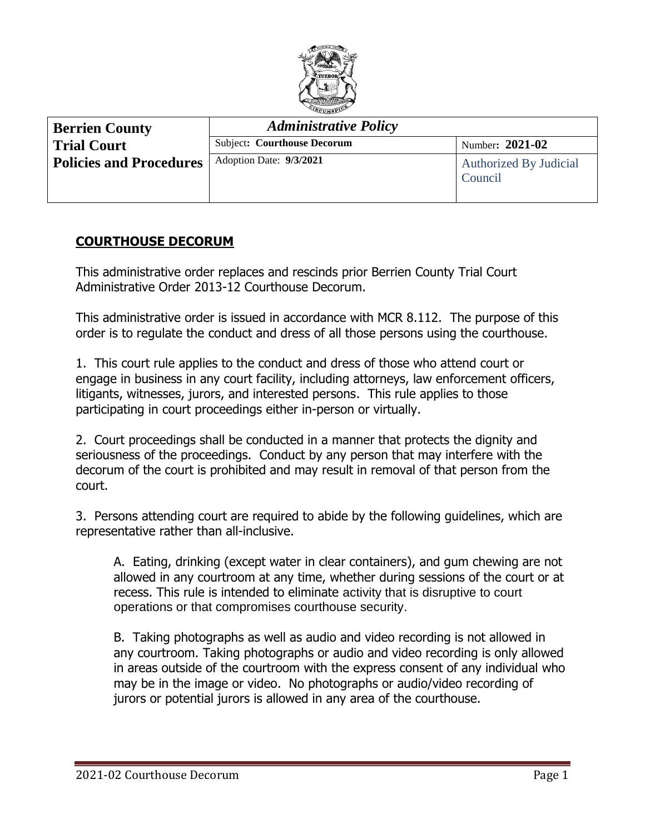

| <b>Berrien County</b>          | <b>Administrative Policy</b>       |                               |
|--------------------------------|------------------------------------|-------------------------------|
| <b>Trial Court</b>             | <b>Subject: Courthouse Decorum</b> | Number: 2021-02               |
| <b>Policies and Procedures</b> | Adoption Date: 9/3/2021            | <b>Authorized By Judicial</b> |
|                                |                                    | Council                       |
|                                |                                    |                               |

## **COURTHOUSE DECORUM**

This administrative order replaces and rescinds prior Berrien County Trial Court Administrative Order 2013-12 Courthouse Decorum.

This administrative order is issued in accordance with MCR 8.112. The purpose of this order is to regulate the conduct and dress of all those persons using the courthouse.

1. This court rule applies to the conduct and dress of those who attend court or engage in business in any court facility, including attorneys, law enforcement officers, litigants, witnesses, jurors, and interested persons. This rule applies to those participating in court proceedings either in-person or virtually.

2. Court proceedings shall be conducted in a manner that protects the dignity and seriousness of the proceedings. Conduct by any person that may interfere with the decorum of the court is prohibited and may result in removal of that person from the court.

3. Persons attending court are required to abide by the following guidelines, which are representative rather than all-inclusive.

A. Eating, drinking (except water in clear containers), and gum chewing are not allowed in any courtroom at any time, whether during sessions of the court or at recess. This rule is intended to eliminate activity that is disruptive to court operations or that compromises courthouse security.

B. Taking photographs as well as audio and video recording is not allowed in any courtroom. Taking photographs or audio and video recording is only allowed in areas outside of the courtroom with the express consent of any individual who may be in the image or video. No photographs or audio/video recording of jurors or potential jurors is allowed in any area of the courthouse.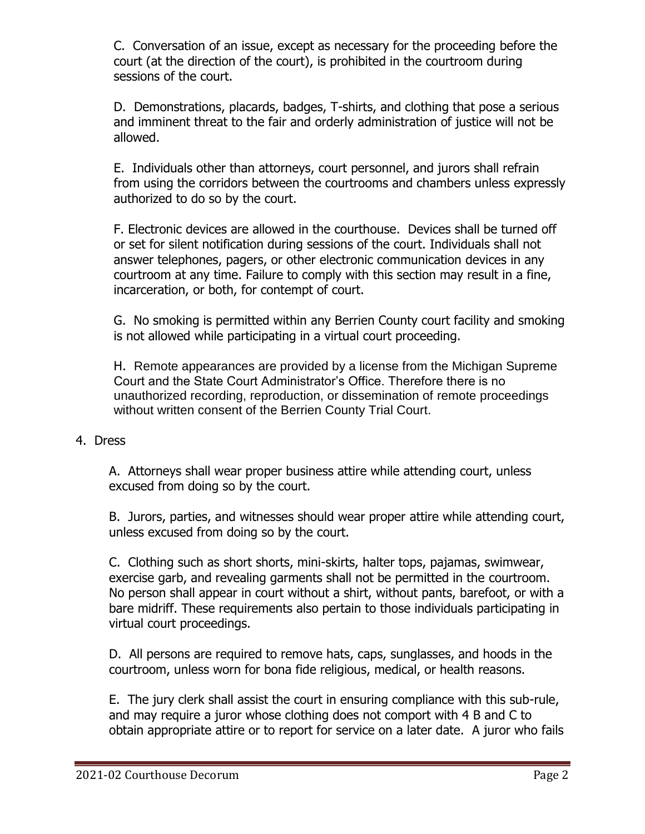C. Conversation of an issue, except as necessary for the proceeding before the court (at the direction of the court), is prohibited in the courtroom during sessions of the court.

D. Demonstrations, placards, badges, T-shirts, and clothing that pose a serious and imminent threat to the fair and orderly administration of justice will not be allowed.

E. Individuals other than attorneys, court personnel, and jurors shall refrain from using the corridors between the courtrooms and chambers unless expressly authorized to do so by the court.

F. Electronic devices are allowed in the courthouse. Devices shall be turned off or set for silent notification during sessions of the court. Individuals shall not answer telephones, pagers, or other electronic communication devices in any courtroom at any time. Failure to comply with this section may result in a fine, incarceration, or both, for contempt of court.

G. No smoking is permitted within any Berrien County court facility and smoking is not allowed while participating in a virtual court proceeding.

H. Remote appearances are provided by a license from the Michigan Supreme Court and the State Court Administrator's Office. Therefore there is no unauthorized recording, reproduction, or dissemination of remote proceedings without written consent of the Berrien County Trial Court.

## 4. Dress

A. Attorneys shall wear proper business attire while attending court, unless excused from doing so by the court.

B. Jurors, parties, and witnesses should wear proper attire while attending court, unless excused from doing so by the court.

C. Clothing such as short shorts, mini-skirts, halter tops, pajamas, swimwear, exercise garb, and revealing garments shall not be permitted in the courtroom. No person shall appear in court without a shirt, without pants, barefoot, or with a bare midriff. These requirements also pertain to those individuals participating in virtual court proceedings.

D. All persons are required to remove hats, caps, sunglasses, and hoods in the courtroom, unless worn for bona fide religious, medical, or health reasons.

E. The jury clerk shall assist the court in ensuring compliance with this sub-rule, and may require a juror whose clothing does not comport with 4 B and C to obtain appropriate attire or to report for service on a later date. A juror who fails